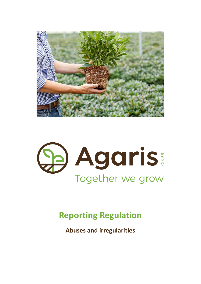



# **Reporting Regulation**

**Abuses and irregularities**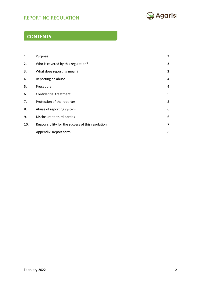# REPORTING REGULATION **DEPORTING**



# **CONTENTS**

| 1.  | Purpose                                           | 3              |
|-----|---------------------------------------------------|----------------|
| 2.  | Who is covered by this regulation?                | 3              |
| 3.  | What does reporting mean?                         | 3              |
| 4.  | Reporting an abuse                                | 4              |
| 5.  | Procedure                                         | 4              |
| 6.  | <b>Confidential treatment</b>                     | 5              |
| 7.  | Protection of the reporter                        | 5              |
| 8.  | Abuse of reporting system                         | 6              |
| 9.  | Disclosure to third parties                       | 6              |
| 10. | Responsibility for the success of this regulation | $\overline{7}$ |
| 11. | Appendix: Report form                             | 8              |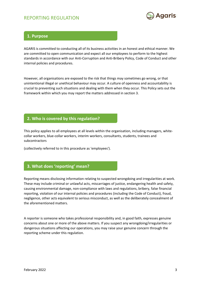

## **1. Purpose**

AGARIS is committed to conducting all of its business activities in an honest and ethical manner. We are committed to open communication and expect all our employees to perform to the highest standards in accordance with our Anti-Corruption and Anti-Bribery Policy, Code of Conduct and other internal policies and procedures.

However, all organisations are exposed to the risk that things may sometimes go wrong, or that unintentional illegal or unethical behaviour may occur. A culture of openness and accountability is crucial to preventing such situations and dealing with them when they occur. This Policy sets out the framework within which you may report the matters addressed in section 3.

### **2. Who is covered by this regulation?**

This policy applies to all employees at all levels within the organisation, including managers, whitecollar workers, blue-collar workers, interim workers, consultants, students, trainees and subcontractors

(collectively referred to in this procedure as 'employees').

## **3. What does 'reporting' mean?**

Reporting means disclosing information relating to suspected wrongdoing and irregularities at work. These may include criminal or unlawful acts, miscarriages of justice, endangering health and safety, causing environmental damage, non-compliance with laws and regulations, bribery, false financial reporting, violation of our internal policies and procedures (including the Code of Conduct), fraud, negligence, other acts equivalent to serious misconduct, as well as the deliberately concealment of the aforementioned matters.

A reporter is someone who takes professional responsibility and, in good faith, expresses genuine concerns about one or more of the above matters. If you suspect any wrongdoing/irregularities or dangerous situations affecting our operations, you may raise your genuine concern through the reporting scheme under this regulation.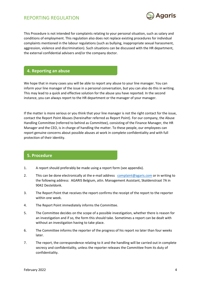

This Procedure is not intended for complaints relating to your personal situation, such as salary and conditions of employment. This regulation also does not replace existing procedures for individual complaints mentioned in the labour regulations (such as bullying, inappropriate sexual harassment, aggression, violence and discrimination). Such situations can be discussed with the HR department, the external confidential advisers and/or the company doctor.

#### **4. Reporting an abuse**

We hope that in many cases you will be able to report any abuse to your line manager. You can inform your line manager of the issue in a personal conversation, but you can also do this in writing. This may lead to a quick and effective solution for the abuse you have reported. In the second instance, you can always report to the HR department or the manager of your manager.

If the matter is more serious or you think that your line manager is not the right contact for the issue, contact the Report Point Abuses (hereinafter referred as Report Point). For our company, the Abuse Handling Committee (referred to behind as Committee), consisting of the Finance Manager, the HR Manager and the CEO, is in charge of handling the matter. To these people, our employees can report genuine concerns about possible abuses at work in complete confidentiality and with full protection of their identity.

## **5. Procedure**

- 1. A report should preferably be made using a report form (see appendix).
- 2. This can be done electronically at the e-mail address [complaint@agaris.com](mailto:complaint@agaris.com) or in writing to the following address: AGARIS Belgium, attn. Management Assistant, Skaldenstraat 7A in 9042 Desteldonk.
- 3. The Report Point that receives the report confirms the receipt of the report to the reporter within one week.
- 4. The Report Point immediately informs the Committee.
- 5. The Committee decides on the scope of a possible investigation, whether there is reason for an investigation and if so, the form this should take. Sometimes a report can be dealt with without an investigation having to take place.
- 6. The Committee informs the reporter of the progress of his report no later than four weeks later.
- 7. The report, the correspondence relating to it and the handling will be carried out in complete secrecy and confidentiality, unless the reporter releases the Committee from its duty of confidentiality.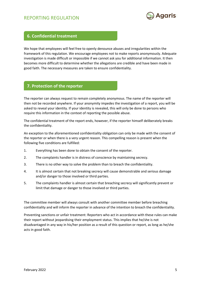

### **6. Confidential treatment**

We hope that employees will feel free to openly denounce abuses and irregularities within the framework of this regulation. We encourage employees not to make reports anonymously. Adequate investigation is made difficult or impossible if we cannot ask you for additional information. It then becomes more difficult to determine whether the allegations are credible and have been made in good faith. The necessary measures are taken to ensure confidentiality.

### **7. Protection of the reporter**

The reporter can always request to remain completely anonymous. The name of the reporter will then not be recorded anywhere. If your anonymity impedes the investigation of a report, you will be asked to reveal your identity. If your identity is revealed, this will only be done to persons who require this information in the context of reporting the possible abuse.

The confidential treatment of the report ends, however, if the reporter himself deliberately breaks the confidentiality.

An exception to the aforementioned confidentiality obligation can only be made with the consent of the reporter or when there is a very urgent reason. This compelling reason is present when the following five conditions are fulfilled:

- 1. Everything has been done to obtain the consent of the reporter.
- 2. The complaints handler is in distress of conscience by maintaining secrecy.
- 3. There is no other way to solve the problem than to breach the confidentiality.
- 4. It is almost certain that not breaking secrecy will cause demonstrable and serious damage and/or danger to those involved or third parties.
- 5. The complaints handler is almost certain that breaching secrecy will significantly prevent or limit that damage or danger to those involved or third parties.

The committee member will always consult with another committee member before breaching confidentiality and will inform the reporter in advance of the intention to breach the confidentiality.

Preventing sanctions or unfair treatment: Reporters who act in accordance with these rules can make their report without jeopardising their employment status. This implies that he/she is not disadvantaged in any way in his/her position as a result of this question or report, as long as he/she acts in good faith.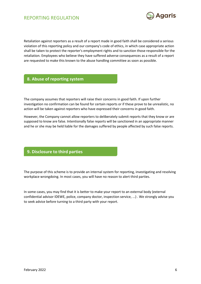

Retaliation against reporters as a result of a report made in good faith shall be considered a serious violation of this reporting policy and our company's code of ethics, in which case appropriate action shall be taken to protect the reporter's employment rights and to sanction those responsible for the retaliation. Employees who believe they have suffered adverse consequences as a result of a report are requested to make this known to the abuse handling committee as soon as possible.

# **8. Abuse of reporting system**

The company assumes that reporters will raise their concerns in good faith. If upon further investigation no confirmation can be found for certain reports or if these prove to be unrealistic, no action will be taken against reporters who have expressed their concerns in good faith.

However, the Company cannot allow reporters to deliberately submit reports that they know or are supposed to know are false. Intentionally false reports will be sanctioned in an appropriate manner and he or she may be held liable for the damages suffered by people affected by such false reports.

## **9. Disclosure to third parties**

The purpose of this scheme is to provide an internal system for reporting, investigating and resolving workplace wrongdoing. In most cases, you will have no reason to alert third parties.

In some cases, you may find that it is better to make your report to an external body (external confidential advisor IDEWE, police, company doctor, inspection service, ...) . We strongly advise you to seek advice before turning to a third party with your report.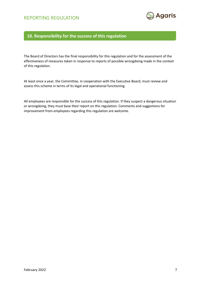

# **10. Responsibility for the success of this regulation**

The Board of Directors has the final responsibility for this regulation and for the assessment of the effectiveness of measures taken in response to reports of possible wrongdoing made in the context of this regulation.

At least once a year, the Committee, in cooperation with the Executive Board, must review and assess this scheme in terms of its legal and operational functioning.

All employees are responsible for the success of this regulation. If they suspect a dangerous situation or wrongdoing, they must base their report on this regulation. Comments and suggestions for improvement from employees regarding this regulation are welcome.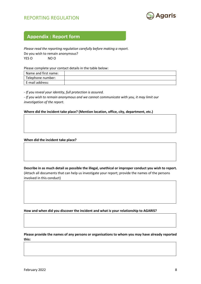

# **Appendix : Report form**

*Please read the reporting regulation carefully before making a report.* Do you wish to remain anonymous? YES O NO O

Please complete your contact details in the table below:

| Name and first name: |  |
|----------------------|--|
| Telephone number:    |  |
| E-mail address:      |  |

*- If you reveal your identity, full protection is assured.*

*- If you wish to remain anonymous and we cannot communicate with you, it may limit our investigation of the report.*

#### **Where did the incident take place? (Mention location, office, city, department, etc.)**

#### **When did the incident take place?**

**Describe in as much detail as possible the illegal, unethical or improper conduct you wish to report.** (Attach all documents that can help us investigate your report; provide the names of the persons involved in this conduct)

**How and when did you discover the incident and what is your relationship to AGARIS?**

**Please provide the names of any persons or organisations to whom you may have already reported this:**